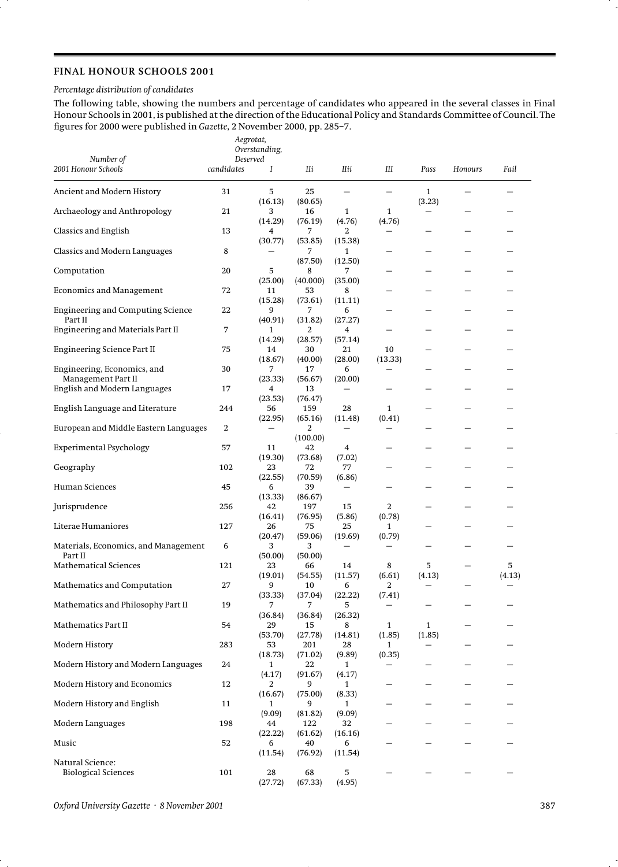## **FINAL HONOUR SCHOOLS 2001**

### *Percentage distribution of candidates*

The following table, showing the numbers and percentage of candidates who appeared in the several classes in Final Honour Schools in 2001, is published at the direction of the Educational Policy and Standards Committee of Council. The figures for 2000 were published in *Gazette*, 2 November 2000, pp. 285–7.

| Number of                                           | Aegrotat,<br>Overstanding,<br>Deserved |                          |                |                        |                        |                        |         |             |
|-----------------------------------------------------|----------------------------------------|--------------------------|----------------|------------------------|------------------------|------------------------|---------|-------------|
| 2001 Honour Schools                                 | candidates                             | Ι                        | Шi             | IIii                   | Ш                      | Pass                   | Honours | Fail        |
| Ancient and Modern History                          | 31                                     | 5<br>(16.13)             | 25<br>(80.65)  |                        |                        | $\mathbf{1}$           |         |             |
| Archaeology and Anthropology                        | 21                                     | 3<br>(14.29)             | 16<br>(76.19)  | $\mathbf{1}$<br>(4.76) | 1<br>(4.76)            | (3.23)                 |         |             |
| Classics and English                                | 13                                     | 4<br>(30.77)             | 7<br>(53.85)   | 2<br>(15.38)           |                        |                        |         |             |
| Classics and Modern Languages                       | 8                                      |                          | 7<br>(87.50)   | 1<br>(12.50)           |                        |                        |         |             |
| Computation                                         | 20                                     | 5<br>(25.00)             | 8<br>(40.000)  | 7<br>(35.00)           |                        |                        |         |             |
| <b>Economics and Management</b>                     | 72                                     | 11<br>(15.28)            | 53<br>(73.61)  | 8<br>(11.11)           |                        |                        |         |             |
| <b>Engineering and Computing Science</b><br>Part II | 22                                     | 9<br>(40.91)             | 7<br>(31.82)   | 6<br>(27.27)           |                        |                        |         |             |
| Engineering and Materials Part II                   | 7                                      | 1<br>(14.29)             | 2<br>(28.57)   | 4<br>(57.14)           |                        |                        |         |             |
| Engineering Science Part II                         | 75                                     | 14<br>(18.67)            | 30<br>(40.00)  | 21<br>(28.00)          | 10<br>(13.33)          |                        |         |             |
| Engineering, Economics, and<br>Management Part II   | 30                                     | 7<br>(23.33)             | 17<br>(56.67)  | 6<br>(20.00)           |                        |                        |         |             |
| English and Modern Languages                        | 17                                     | 4<br>(23.53)             | 13<br>(76.47)  |                        |                        |                        |         |             |
| English Language and Literature                     | 244                                    | 56<br>(22.95)            | 159<br>(65.16) | 28<br>(11.48)          | $\mathbf{1}$<br>(0.41) |                        |         |             |
| European and Middle Eastern Languages               | 2                                      | $\overline{\phantom{0}}$ | 2<br>(100.00)  |                        |                        |                        |         |             |
| <b>Experimental Psychology</b>                      | 57                                     | 11<br>(19.30)            | 42<br>(73.68)  | 4<br>(7.02)            |                        |                        |         |             |
| Geography                                           | 102                                    | 23<br>(22.55)            | 72<br>(70.59)  | 77<br>(6.86)           |                        |                        |         |             |
| Human Sciences                                      | 45                                     | 6<br>(13.33)             | 39<br>(86.67)  | $\qquad \qquad -$      |                        |                        |         |             |
| Jurisprudence                                       | 256                                    | 42<br>(16.41)            | 197<br>(76.95) | 15<br>(5.86)           | 2<br>(0.78)            |                        |         |             |
| Literae Humaniores                                  | 127                                    | 26<br>(20.47)            | 75<br>(59.06)  | 25<br>(19.69)          | 1<br>(0.79)            |                        |         |             |
| Materials, Economics, and Management<br>Part II     | 6                                      | 3<br>(50.00)             | 3<br>(50.00)   |                        |                        |                        |         |             |
| <b>Mathematical Sciences</b>                        | 121                                    | 23<br>(19.01)            | 66<br>(54.55)  | 14<br>(11.57)          | 8<br>(6.61)            | 5<br>(4.13)            |         | 5<br>(4.13) |
| Mathematics and Computation                         | $27\,$                                 | 9<br>(33.33)             | 10<br>(37.04)  | b<br>(22.22)           | z<br>(7.41)            |                        |         |             |
| Mathematics and Philosophy Part II                  | 19                                     | 7<br>(36.84)             | 7<br>(36.84)   | 5<br>(26.32)           |                        |                        |         |             |
| Mathematics Part II                                 | 54                                     | 29<br>(53.70)            | 15<br>(27.78)  | 8<br>(14.81)           | $\mathbf{1}$<br>(1.85) | $\mathbf{1}$<br>(1.85) |         |             |
| Modern History                                      | 283                                    | 53<br>(18.73)            | 201<br>(71.02) | 28<br>(9.89)           | $\mathbf{1}$<br>(0.35) |                        |         |             |
| Modern History and Modern Languages                 | 24                                     | 1<br>(4.17)              | 22<br>(91.67)  | 1<br>(4.17)            |                        |                        |         |             |
| Modern History and Economics                        | 12                                     | 2<br>(16.67)             | 9<br>(75.00)   | 1<br>(8.33)            |                        |                        |         |             |
| Modern History and English                          | 11                                     | 1<br>(9.09)              | 9<br>(81.82)   | 1<br>(9.09)            |                        |                        |         |             |
| Modern Languages                                    | 198                                    | 44<br>(22.22)            | 122<br>(61.62) | 32<br>(16.16)          |                        |                        |         |             |
| Music                                               | 52                                     | 6<br>(11.54)             | 40<br>(76.92)  | 6<br>(11.54)           |                        |                        |         |             |
| Natural Science:<br><b>Biological Sciences</b>      | 101                                    | 28<br>(27.72)            | 68<br>(67.33)  | 5<br>(4.95)            |                        |                        |         |             |